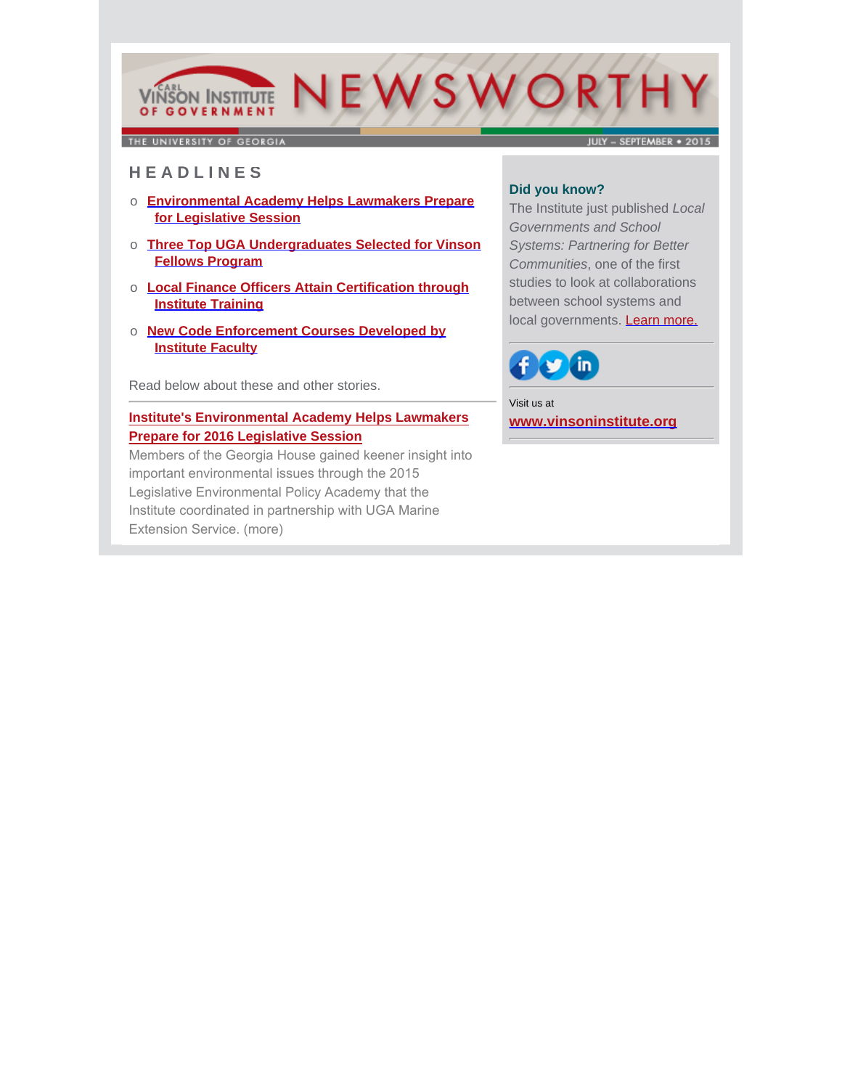# VIÑSON INSTITUTE NEWSWORTH OF GOVERNMENT

THE UNIVERSITY OF GEORGIA

JULY - SEPTEMBER . 2015

## **H E A D L I N E S**

- o **Environmental Academy Helps Lawmakers Prepare for Legislative Session**
- o **Three Top UGA Undergraduates Selected for Vinson Fellows Program**
- o **Local Finance Officers Attain Certification through Institute Training**
- o **New Code Enforcement Courses Developed by Institute Faculty**

Read below about these and other stories.

### **Institute's Environmental Academy Helps Lawmakers Prepare for 2016 Legislative Session**

[Members of the Georgia House gained keener insight into](http://www.cviog.uga.edu/news/spotlights/093015-institute-academy.html)  important environmental issues through the 2015 Legislative Environmental Policy Academy that the Institute coordinated in partnership with UGA Marine Extension Service. (more)

#### **Did you know?**

The Institute just published *Local Governments and School Systems: Partnering for Better Communities*, one of the first studies to look at collaborations between school systems and local governments. **Learn more.** 



Visit us at **[www.vinsoninstitute.org](http://www.cviog.uga.edu)**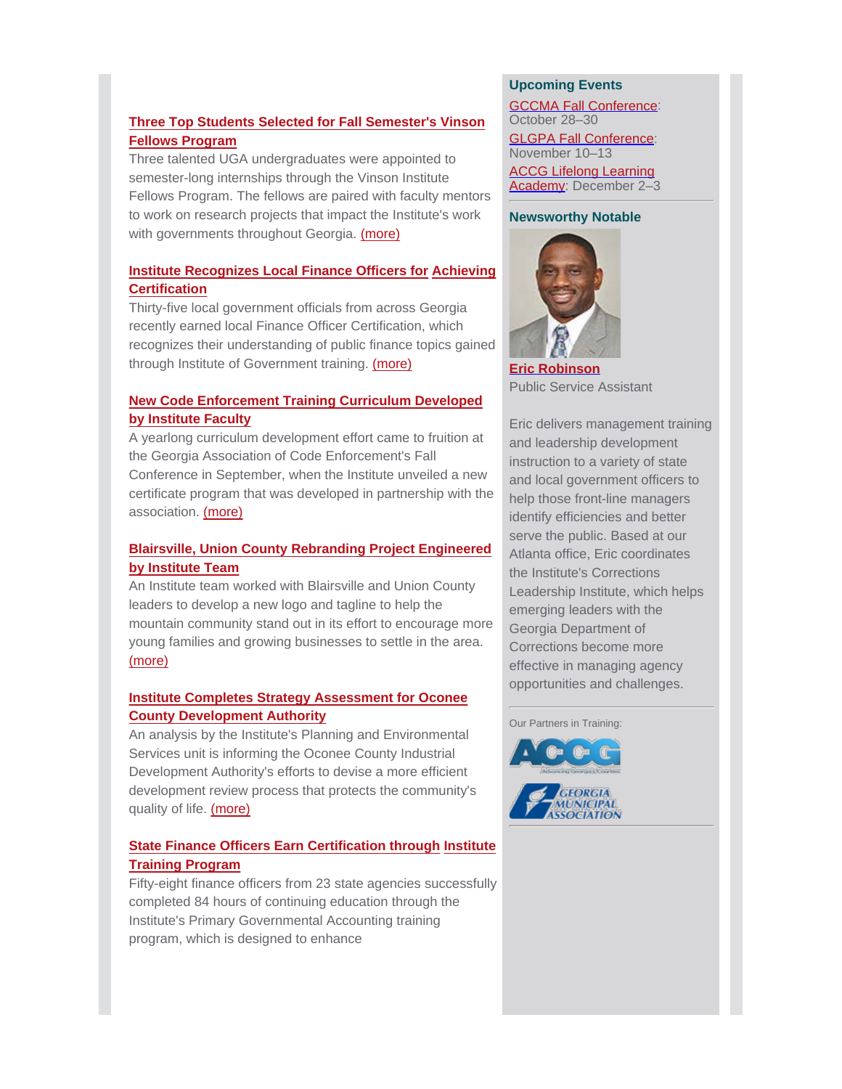# **Three Top Students Selected for Fall Semester's Vinson Fellows Program**

Three talented UGA undergraduates were appointed to semester-long internships through the Vinson Institute [Fellows Program. The fellows are paired with faculty mentors](http://www.cviog.uga.edu/news/spotlights/083115-vinson-fellows.html) to work on research projects that impact the Institute's work with governments throughout Georgia. (more)

### **Institute Recognizes Local Finance Officers for Achieving Certification**

[Thirty-five local government officials from across Georgia](http://www.cviog.uga.edu/news/spotlights/082715-finance-officers.html) recently earned local Finance Officer Certification, which recognizes their understanding of public finance topics gained through Institute of Government training. (more)

## **New Code Enforcement Training Curriculum Developed by Institute Faculty**

A yearlong curriculum development effort came to fruition at the Georgia Association of Code Enforcement's Fall Conference in September, when the Institute unveiled a new [certificate program that was developed in partnership with the](http://www.cviog.uga.edu/news/spotlights/092915-code-enforcement.html) association. (more)

# **Blairsville, Union County Rebranding Project Engineered by Institute Team**

An Institute team worked with Blairsville and Union County leaders to develop a new logo and tagline to help the [mountain community stand out in its effort to encourage more](http://www.cviog.uga.edu/news/spotlights/093015-union-county-rebrand.html) young families and growing businesses to settle in the area. (more)

## **Institute Completes Strategy Assessment for Oconee County Development Authority**

An analysis by the Institute's Planning and Environmental Services unit is informing the Oconee County Industrial Development Authority's efforts to devise a more efficient [development review process that protects the community's](http://www.cviog.uga.edu/news/spotlights/091515-oconee-ida.html) quality of life. (more)

# **[State Finance Officers Earn Certification through](http://www.cviog.uga.edu/news/spotlights/090815-finance-officers.html) Institute Training Program**

Fifty-eight finance officers from 23 state agencies successfully completed 84 hours of continuing education through the Institute's Primary Governmental Accounting training program, which is designed to enhance

#### **Upcoming Events**

GCCMA Fall Conference: October 28–30

GLGPA Fall Conference: November 10–13

ACCG Lifelong Learning Academy: December 2-3

#### **Newsworthy Notable**



**[Eric Robinson](http://www.cviog.uga.edu/about-us/faculty-staff/eric-robinson.html)** Public Service Assistant

Eric delivers management training and leadership development instruction to a variety of state and local government officers to help those front-line managers identify efficiencies and better serve the public. Based at our Atlanta office, Eric coordinates the Institute's Corrections Leadership Institute, which helps emerging leaders with the Georgia Department of Corrections become more effective in managing agency opportunities and challenges.